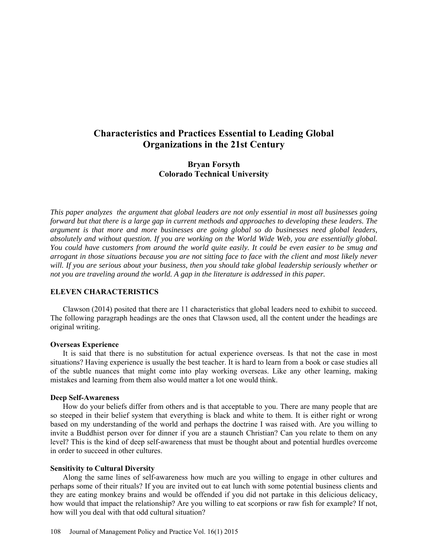# **Characteristics and Practices Essential to Leading Global Organizations in the 21st Century**

## **Bryan Forsyth Colorado Technical University**

*This paper analyzes the argument that global leaders are not only essential in most all businesses going forward but that there is a large gap in current methods and approaches to developing these leaders. The argument is that more and more businesses are going global so do businesses need global leaders, absolutely and without question. If you are working on the World Wide Web, you are essentially global. You could have customers from around the world quite easily. It could be even easier to be smug and arrogant in those situations because you are not sitting face to face with the client and most likely never will. If you are serious about your business, then you should take global leadership seriously whether or not you are traveling around the world. A gap in the literature is addressed in this paper.* 

## **ELEVEN CHARACTERISTICS**

Clawson (2014) posited that there are 11 characteristics that global leaders need to exhibit to succeed. The following paragraph headings are the ones that Clawson used, all the content under the headings are original writing.

#### **Overseas Experience**

It is said that there is no substitution for actual experience overseas. Is that not the case in most situations? Having experience is usually the best teacher. It is hard to learn from a book or case studies all of the subtle nuances that might come into play working overseas. Like any other learning, making mistakes and learning from them also would matter a lot one would think.

#### **Deep Self-Awareness**

How do your beliefs differ from others and is that acceptable to you. There are many people that are so steeped in their belief system that everything is black and white to them. It is either right or wrong based on my understanding of the world and perhaps the doctrine I was raised with. Are you willing to invite a Buddhist person over for dinner if you are a staunch Christian? Can you relate to them on any level? This is the kind of deep self-awareness that must be thought about and potential hurdles overcome in order to succeed in other cultures.

#### **Sensitivity to Cultural Diversity**

Along the same lines of self-awareness how much are you willing to engage in other cultures and perhaps some of their rituals? If you are invited out to eat lunch with some potential business clients and they are eating monkey brains and would be offended if you did not partake in this delicious delicacy, how would that impact the relationship? Are you willing to eat scorpions or raw fish for example? If not, how will you deal with that odd cultural situation?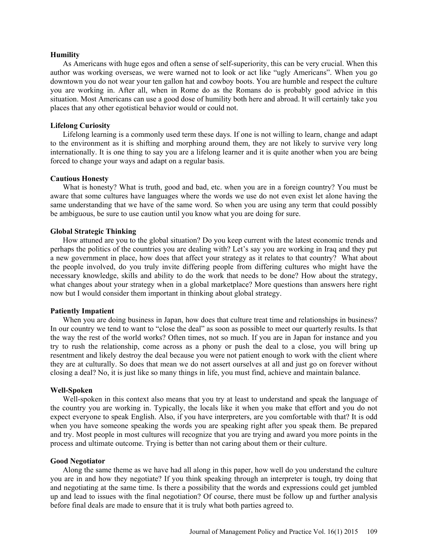#### **Humility**

As Americans with huge egos and often a sense of self-superiority, this can be very crucial. When this author was working overseas, we were warned not to look or act like "ugly Americans". When you go downtown you do not wear your ten gallon hat and cowboy boots. You are humble and respect the culture you are working in. After all, when in Rome do as the Romans do is probably good advice in this situation. Most Americans can use a good dose of humility both here and abroad. It will certainly take you places that any other egotistical behavior would or could not.

#### **Lifelong Curiosity**

Lifelong learning is a commonly used term these days. If one is not willing to learn, change and adapt to the environment as it is shifting and morphing around them, they are not likely to survive very long internationally. It is one thing to say you are a lifelong learner and it is quite another when you are being forced to change your ways and adapt on a regular basis.

#### **Cautious Honesty**

What is honesty? What is truth, good and bad, etc. when you are in a foreign country? You must be aware that some cultures have languages where the words we use do not even exist let alone having the same understanding that we have of the same word. So when you are using any term that could possibly be ambiguous, be sure to use caution until you know what you are doing for sure.

#### **Global Strategic Thinking**

How attuned are you to the global situation? Do you keep current with the latest economic trends and perhaps the politics of the countries you are dealing with? Let's say you are working in Iraq and they put a new government in place, how does that affect your strategy as it relates to that country? What about the people involved, do you truly invite differing people from differing cultures who might have the necessary knowledge, skills and ability to do the work that needs to be done? How about the strategy, what changes about your strategy when in a global marketplace? More questions than answers here right now but I would consider them important in thinking about global strategy.

#### **Patiently Impatient**

When you are doing business in Japan, how does that culture treat time and relationships in business? In our country we tend to want to "close the deal" as soon as possible to meet our quarterly results. Is that the way the rest of the world works? Often times, not so much. If you are in Japan for instance and you try to rush the relationship, come across as a phony or push the deal to a close, you will bring up resentment and likely destroy the deal because you were not patient enough to work with the client where they are at culturally. So does that mean we do not assert ourselves at all and just go on forever without closing a deal? No, it is just like so many things in life, you must find, achieve and maintain balance.

#### **Well-Spoken**

Well-spoken in this context also means that you try at least to understand and speak the language of the country you are working in. Typically, the locals like it when you make that effort and you do not expect everyone to speak English. Also, if you have interpreters, are you comfortable with that? It is odd when you have someone speaking the words you are speaking right after you speak them. Be prepared and try. Most people in most cultures will recognize that you are trying and award you more points in the process and ultimate outcome. Trying is better than not caring about them or their culture.

#### **Good Negotiator**

Along the same theme as we have had all along in this paper, how well do you understand the culture you are in and how they negotiate? If you think speaking through an interpreter is tough, try doing that and negotiating at the same time. Is there a possibility that the words and expressions could get jumbled up and lead to issues with the final negotiation? Of course, there must be follow up and further analysis before final deals are made to ensure that it is truly what both parties agreed to.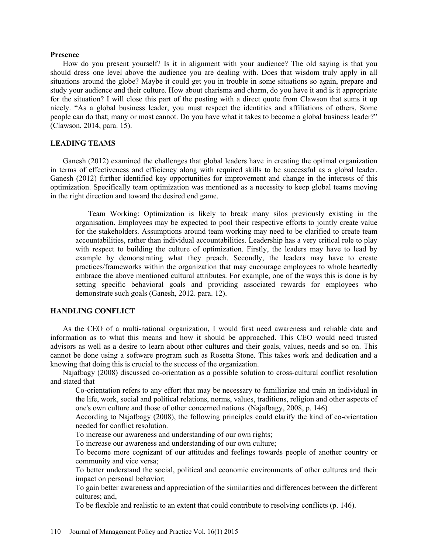#### **Presence**

How do you present yourself? Is it in alignment with your audience? The old saying is that you should dress one level above the audience you are dealing with. Does that wisdom truly apply in all situations around the globe? Maybe it could get you in trouble in some situations so again, prepare and study your audience and their culture. How about charisma and charm, do you have it and is it appropriate for the situation? I will close this part of the posting with a direct quote from Clawson that sums it up nicely. "As a global business leader, you must respect the identities and affiliations of others. Some people can do that; many or most cannot. Do you have what it takes to become a global business leader?" (Clawson, 2014, para. 15).

## **LEADING TEAMS**

Ganesh (2012) examined the challenges that global leaders have in creating the optimal organization in terms of effectiveness and efficiency along with required skills to be successful as a global leader. Ganesh (2012) further identified key opportunities for improvement and change in the interests of this optimization. Specifically team optimization was mentioned as a necessity to keep global teams moving in the right direction and toward the desired end game.

Team Working: Optimization is likely to break many silos previously existing in the organisation. Employees may be expected to pool their respective efforts to jointly create value for the stakeholders. Assumptions around team working may need to be clarified to create team accountabilities, rather than individual accountabilities. Leadership has a very critical role to play with respect to building the culture of optimization. Firstly, the leaders may have to lead by example by demonstrating what they preach. Secondly, the leaders may have to create practices/frameworks within the organization that may encourage employees to whole heartedly embrace the above mentioned cultural attributes. For example, one of the ways this is done is by setting specific behavioral goals and providing associated rewards for employees who demonstrate such goals (Ganesh, 2012. para. 12).

### **HANDLING CONFLICT**

As the CEO of a multi-national organization, I would first need awareness and reliable data and information as to what this means and how it should be approached. This CEO would need trusted advisors as well as a desire to learn about other cultures and their goals, values, needs and so on. This cannot be done using a software program such as Rosetta Stone. This takes work and dedication and a knowing that doing this is crucial to the success of the organization.

Najafbagy (2008) discussed co-orientation as a possible solution to cross-cultural conflict resolution and stated that

Co-orientation refers to any effort that may be necessary to familiarize and train an individual in the life, work, social and political relations, norms, values, traditions, religion and other aspects of one's own culture and those of other concerned nations. (Najafbagy, 2008, p. 146)

According to Najafbagy (2008), the following principles could clarify the kind of co-orientation needed for conflict resolution.

To increase our awareness and understanding of our own rights;

To increase our awareness and understanding of our own culture;

To become more cognizant of our attitudes and feelings towards people of another country or community and vice versa;

To better understand the social, political and economic environments of other cultures and their impact on personal behavior;

To gain better awareness and appreciation of the similarities and differences between the different cultures; and,

To be flexible and realistic to an extent that could contribute to resolving conflicts (p. 146).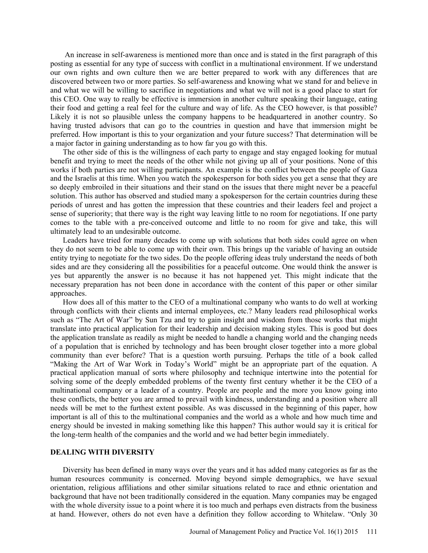An increase in self-awareness is mentioned more than once and is stated in the first paragraph of this posting as essential for any type of success with conflict in a multinational environment. If we understand our own rights and own culture then we are better prepared to work with any differences that are discovered between two or more parties. So self-awareness and knowing what we stand for and believe in and what we will be willing to sacrifice in negotiations and what we will not is a good place to start for this CEO. One way to really be effective is immersion in another culture speaking their language, eating their food and getting a real feel for the culture and way of life. As the CEO however, is that possible? Likely it is not so plausible unless the company happens to be headquartered in another country. So having trusted advisors that can go to the countries in question and have that immersion might be preferred. How important is this to your organization and your future success? That determination will be a major factor in gaining understanding as to how far you go with this.

The other side of this is the willingness of each party to engage and stay engaged looking for mutual benefit and trying to meet the needs of the other while not giving up all of your positions. None of this works if both parties are not willing participants. An example is the conflict between the people of Gaza and the Israelis at this time. When you watch the spokesperson for both sides you get a sense that they are so deeply embroiled in their situations and their stand on the issues that there might never be a peaceful solution. This author has observed and studied many a spokesperson for the certain countries during these periods of unrest and has gotten the impression that these countries and their leaders feel and project a sense of superiority; that there way is the right way leaving little to no room for negotiations. If one party comes to the table with a pre-conceived outcome and little to no room for give and take, this will ultimately lead to an undesirable outcome.

Leaders have tried for many decades to come up with solutions that both sides could agree on when they do not seem to be able to come up with their own. This brings up the variable of having an outside entity trying to negotiate for the two sides. Do the people offering ideas truly understand the needs of both sides and are they considering all the possibilities for a peaceful outcome. One would think the answer is yes but apparently the answer is no because it has not happened yet. This might indicate that the necessary preparation has not been done in accordance with the content of this paper or other similar approaches.

How does all of this matter to the CEO of a multinational company who wants to do well at working through conflicts with their clients and internal employees, etc.? Many leaders read philosophical works such as "The Art of War" by Sun Tzu and try to gain insight and wisdom from those works that might translate into practical application for their leadership and decision making styles. This is good but does the application translate as readily as might be needed to handle a changing world and the changing needs of a population that is enriched by technology and has been brought closer together into a more global community than ever before? That is a question worth pursuing. Perhaps the title of a book called "Making the Art of War Work in Today's World" might be an appropriate part of the equation. A practical application manual of sorts where philosophy and technique intertwine into the potential for solving some of the deeply embedded problems of the twenty first century whether it be the CEO of a multinational company or a leader of a country. People are people and the more you know going into these conflicts, the better you are armed to prevail with kindness, understanding and a position where all needs will be met to the furthest extent possible. As was discussed in the beginning of this paper, how important is all of this to the multinational companies and the world as a whole and how much time and energy should be invested in making something like this happen? This author would say it is critical for the long-term health of the companies and the world and we had better begin immediately.

#### **DEALING WITH DIVERSITY**

Diversity has been defined in many ways over the years and it has added many categories as far as the human resources community is concerned. Moving beyond simple demographics, we have sexual orientation, religious affiliations and other similar situations related to race and ethnic orientation and background that have not been traditionally considered in the equation. Many companies may be engaged with the whole diversity issue to a point where it is too much and perhaps even distracts from the business at hand. However, others do not even have a definition they follow according to Whitelaw. "Only 30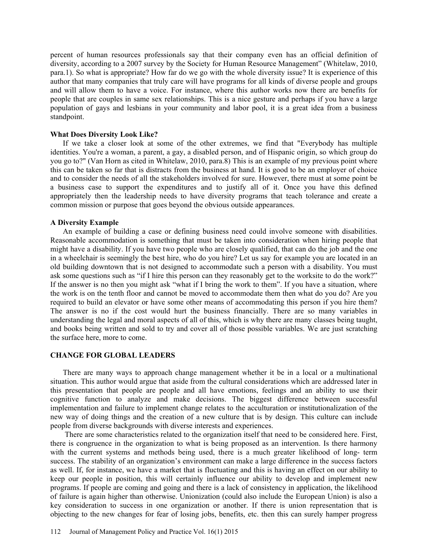percent of human resources professionals say that their company even has an official definition of diversity, according to a 2007 survey by the Society for Human Resource Management" (Whitelaw, 2010, para.1). So what is appropriate? How far do we go with the whole diversity issue? It is experience of this author that many companies that truly care will have programs for all kinds of diverse people and groups and will allow them to have a voice. For instance, where this author works now there are benefits for people that are couples in same sex relationships. This is a nice gesture and perhaps if you have a large population of gays and lesbians in your community and labor pool, it is a great idea from a business standpoint.

#### **What Does Diversity Look Like?**

If we take a closer look at some of the other extremes, we find that "Everybody has multiple identities. You're a woman, a parent, a gay, a disabled person, and of Hispanic origin, so which group do you go to?" (Van Horn as cited in Whitelaw, 2010, para.8) This is an example of my previous point where this can be taken so far that is distracts from the business at hand. It is good to be an employer of choice and to consider the needs of all the stakeholders involved for sure. However, there must at some point be a business case to support the expenditures and to justify all of it. Once you have this defined appropriately then the leadership needs to have diversity programs that teach tolerance and create a common mission or purpose that goes beyond the obvious outside appearances.

#### **A Diversity Example**

An example of building a case or defining business need could involve someone with disabilities. Reasonable accommodation is something that must be taken into consideration when hiring people that might have a disability. If you have two people who are closely qualified, that can do the job and the one in a wheelchair is seemingly the best hire, who do you hire? Let us say for example you are located in an old building downtown that is not designed to accommodate such a person with a disability. You must ask some questions such as "if I hire this person can they reasonably get to the worksite to do the work?" If the answer is no then you might ask "what if I bring the work to them". If you have a situation, where the work is on the tenth floor and cannot be moved to accommodate them then what do you do? Are you required to build an elevator or have some other means of accommodating this person if you hire them? The answer is no if the cost would hurt the business financially. There are so many variables in understanding the legal and moral aspects of all of this, which is why there are many classes being taught, and books being written and sold to try and cover all of those possible variables. We are just scratching the surface here, more to come.

#### **CHANGE FOR GLOBAL LEADERS**

There are many ways to approach change management whether it be in a local or a multinational situation. This author would argue that aside from the cultural considerations which are addressed later in this presentation that people are people and all have emotions, feelings and an ability to use their cognitive function to analyze and make decisions. The biggest difference between successful implementation and failure to implement change relates to the acculturation or institutionalization of the new way of doing things and the creation of a new culture that is by design. This culture can include people from diverse backgrounds with diverse interests and experiences.

 There are some characteristics related to the organization itself that need to be considered here. First, there is congruence in the organization to what is being proposed as an intervention. Is there harmony with the current systems and methods being used, there is a much greater likelihood of long- term success. The stability of an organization's environment can make a large difference in the success factors as well. If, for instance, we have a market that is fluctuating and this is having an effect on our ability to keep our people in position, this will certainly influence our ability to develop and implement new programs. If people are coming and going and there is a lack of consistency in application, the likelihood of failure is again higher than otherwise. Unionization (could also include the European Union) is also a key consideration to success in one organization or another. If there is union representation that is objecting to the new changes for fear of losing jobs, benefits, etc. then this can surely hamper progress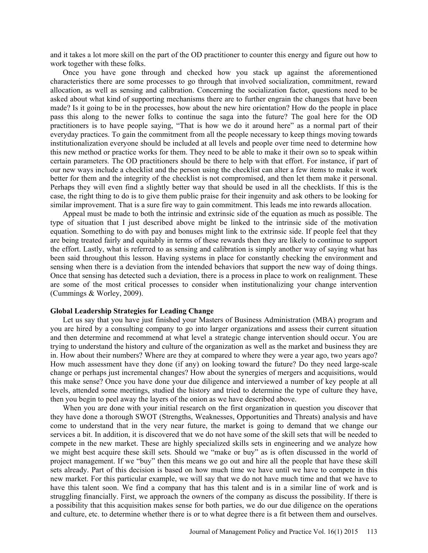and it takes a lot more skill on the part of the OD practitioner to counter this energy and figure out how to work together with these folks.

Once you have gone through and checked how you stack up against the aforementioned characteristics there are some processes to go through that involved socialization, commitment, reward allocation, as well as sensing and calibration. Concerning the socialization factor, questions need to be asked about what kind of supporting mechanisms there are to further engrain the changes that have been made? Is it going to be in the processes, how about the new hire orientation? How do the people in place pass this along to the newer folks to continue the saga into the future? The goal here for the OD practitioners is to have people saying, "That is how we do it around here" as a normal part of their everyday practices. To gain the commitment from all the people necessary to keep things moving towards institutionalization everyone should be included at all levels and people over time need to determine how this new method or practice works for them. They need to be able to make it their own so to speak within certain parameters. The OD practitioners should be there to help with that effort. For instance, if part of our new ways include a checklist and the person using the checklist can alter a few items to make it work better for them and the integrity of the checklist is not compromised, and then let them make it personal. Perhaps they will even find a slightly better way that should be used in all the checklists. If this is the case, the right thing to do is to give them public praise for their ingenuity and ask others to be looking for similar improvement. That is a sure fire way to gain commitment. This leads me into rewards allocation.

Appeal must be made to both the intrinsic and extrinsic side of the equation as much as possible. The type of situation that I just described above might be linked to the intrinsic side of the motivation equation. Something to do with pay and bonuses might link to the extrinsic side. If people feel that they are being treated fairly and equitably in terms of these rewards then they are likely to continue to support the effort. Lastly, what is referred to as sensing and calibration is simply another way of saying what has been said throughout this lesson. Having systems in place for constantly checking the environment and sensing when there is a deviation from the intended behaviors that support the new way of doing things. Once that sensing has detected such a deviation, there is a process in place to work on realignment. These are some of the most critical processes to consider when institutionalizing your change intervention (Cummings & Worley, 2009).

#### **Global Leadership Strategies for Leading Change**

Let us say that you have just finished your Masters of Business Administration (MBA) program and you are hired by a consulting company to go into larger organizations and assess their current situation and then determine and recommend at what level a strategic change intervention should occur. You are trying to understand the history and culture of the organization as well as the market and business they are in. How about their numbers? Where are they at compared to where they were a year ago, two years ago? How much assessment have they done (if any) on looking toward the future? Do they need large-scale change or perhaps just incremental changes? How about the synergies of mergers and acquisitions, would this make sense? Once you have done your due diligence and interviewed a number of key people at all levels, attended some meetings, studied the history and tried to determine the type of culture they have, then you begin to peel away the layers of the onion as we have described above.

When you are done with your initial research on the first organization in question you discover that they have done a thorough SWOT (Strengths, Weaknesses, Opportunities and Threats) analysis and have come to understand that in the very near future, the market is going to demand that we change our services a bit. In addition, it is discovered that we do not have some of the skill sets that will be needed to compete in the new market. These are highly specialized skills sets in engineering and we analyze how we might best acquire these skill sets. Should we "make or buy" as is often discussed in the world of project management. If we "buy" then this means we go out and hire all the people that have these skill sets already. Part of this decision is based on how much time we have until we have to compete in this new market. For this particular example, we will say that we do not have much time and that we have to have this talent soon. We find a company that has this talent and is in a similar line of work and is struggling financially. First, we approach the owners of the company as discuss the possibility. If there is a possibility that this acquisition makes sense for both parties, we do our due diligence on the operations and culture, etc. to determine whether there is or to what degree there is a fit between them and ourselves.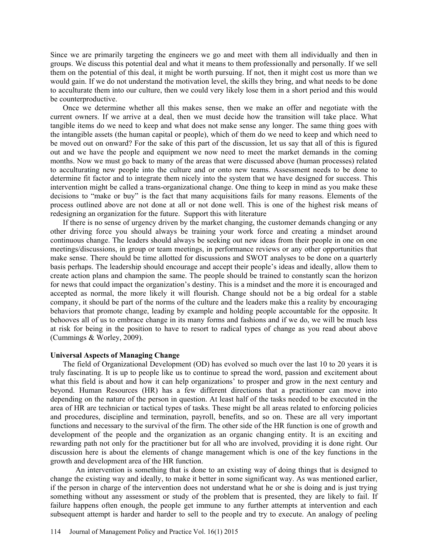Since we are primarily targeting the engineers we go and meet with them all individually and then in groups. We discuss this potential deal and what it means to them professionally and personally. If we sell them on the potential of this deal, it might be worth pursuing. If not, then it might cost us more than we would gain. If we do not understand the motivation level, the skills they bring, and what needs to be done to acculturate them into our culture, then we could very likely lose them in a short period and this would be counterproductive.

Once we determine whether all this makes sense, then we make an offer and negotiate with the current owners. If we arrive at a deal, then we must decide how the transition will take place. What tangible items do we need to keep and what does not make sense any longer. The same thing goes with the intangible assets (the human capital or people), which of them do we need to keep and which need to be moved out on onward? For the sake of this part of the discussion, let us say that all of this is figured out and we have the people and equipment we now need to meet the market demands in the coming months. Now we must go back to many of the areas that were discussed above (human processes) related to acculturating new people into the culture and or onto new teams. Assessment needs to be done to determine fit factor and to integrate them nicely into the system that we have designed for success. This intervention might be called a trans-organizational change. One thing to keep in mind as you make these decisions to "make or buy" is the fact that many acquisitions fails for many reasons. Elements of the process outlined above are not done at all or not done well. This is one of the highest risk means of redesigning an organization for the future. Support this with literature

If there is no sense of urgency driven by the market changing, the customer demands changing or any other driving force you should always be training your work force and creating a mindset around continuous change. The leaders should always be seeking out new ideas from their people in one on one meetings/discussions, in group or team meetings, in performance reviews or any other opportunities that make sense. There should be time allotted for discussions and SWOT analyses to be done on a quarterly basis perhaps. The leadership should encourage and accept their people's ideas and ideally, allow them to create action plans and champion the same. The people should be trained to constantly scan the horizon for news that could impact the organization's destiny. This is a mindset and the more it is encouraged and accepted as normal, the more likely it will flourish. Change should not be a big ordeal for a stable company, it should be part of the norms of the culture and the leaders make this a reality by encouraging behaviors that promote change, leading by example and holding people accountable for the opposite. It behooves all of us to embrace change in its many forms and fashions and if we do, we will be much less at risk for being in the position to have to resort to radical types of change as you read about above (Cummings & Worley, 2009).

#### **Universal Aspects of Managing Change**

The field of Organizational Development (OD) has evolved so much over the last 10 to 20 years it is truly fascinating. It is up to people like us to continue to spread the word, passion and excitement about what this field is about and how it can help organizations<sup>3</sup> to prosper and grow in the next century and beyond. Human Resources (HR) has a few different directions that a practitioner can move into depending on the nature of the person in question. At least half of the tasks needed to be executed in the area of HR are technician or tactical types of tasks. These might be all areas related to enforcing policies and procedures, discipline and termination, payroll, benefits, and so on. These are all very important functions and necessary to the survival of the firm. The other side of the HR function is one of growth and development of the people and the organization as an organic changing entity. It is an exciting and rewarding path not only for the practitioner but for all who are involved, providing it is done right. Our discussion here is about the elements of change management which is one of the key functions in the growth and development area of the HR function.

 An intervention is something that is done to an existing way of doing things that is designed to change the existing way and ideally, to make it better in some significant way. As was mentioned earlier, if the person in charge of the intervention does not understand what he or she is doing and is just trying something without any assessment or study of the problem that is presented, they are likely to fail. If failure happens often enough, the people get immune to any further attempts at intervention and each subsequent attempt is harder and harder to sell to the people and try to execute. An analogy of peeling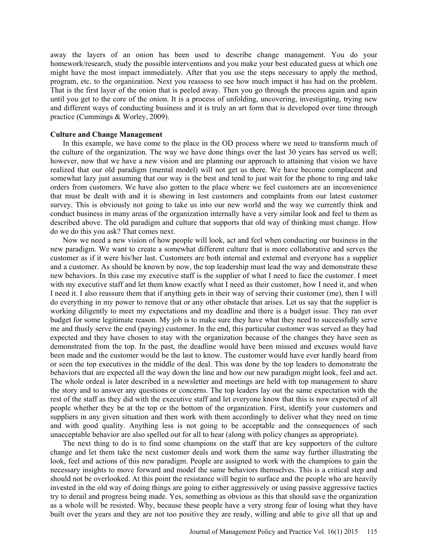away the layers of an onion has been used to describe change management. You do your homework/research, study the possible interventions and you make your best educated guess at which one might have the most impact immediately. After that you use the steps necessary to apply the method, program, etc. to the organization. Next you reassess to see how much impact it has had on the problem. That is the first layer of the onion that is peeled away. Then you go through the process again and again until you get to the core of the onion. It is a process of unfolding, uncovering, investigating, trying new and different ways of conducting business and it is truly an art form that is developed over time through practice (Cummings & Worley, 2009).

#### **Culture and Change Management**

In this example, we have come to the place in the OD process where we need to transform much of the culture of the organization. The way we have done things over the last 30 years has served us well; however, now that we have a new vision and are planning our approach to attaining that vision we have realized that our old paradigm (mental model) will not get us there. We have become complacent and somewhat lazy just assuming that our way is the best and tend to just wait for the phone to ring and take orders from customers. We have also gotten to the place where we feel customers are an inconvenience that must be dealt with and it is showing in lost customers and complaints from our latest customer survey. This is obviously not going to take us into our new world and the way we currently think and conduct business in many areas of the organization internally have a very similar look and feel to them as described above. The old paradigm and culture that supports that old way of thinking must change. How do we do this you ask? That comes next.

Now we need a new vision of how people will look, act and feel when conducting our business in the new paradigm. We want to create a somewhat different culture that is more collaborative and serves the customer as if it were his/her last. Customers are both internal and external and everyone has a supplier and a customer. As should be known by now, the top leadership must lead the way and demonstrate these new behaviors. In this case my executive staff is the supplier of what I need to face the customer. I meet with my executive staff and let them know exactly what I need as their customer, how I need it, and when I need it. I also reassure them that if anything gets in their way of serving their customer (me), then I will do everything in my power to remove that or any other obstacle that arises. Let us say that the supplier is working diligently to meet my expectations and my deadline and there is a budget issue. They ran over budget for some legitimate reason. My job is to make sure they have what they need to successfully serve me and thusly serve the end (paying) customer. In the end, this particular customer was served as they had expected and they have chosen to stay with the organization because of the changes they have seen as demonstrated from the top. In the past, the deadline would have been missed and excuses would have been made and the customer would be the last to know. The customer would have ever hardly heard from or seen the top executives in the middle of the deal. This was done by the top leaders to demonstrate the behaviors that are expected all the way down the line and how our new paradigm might look, feel and act. The whole ordeal is later described in a newsletter and meetings are held with top management to share the story and to answer any questions or concerns. The top leaders lay out the same expectation with the rest of the staff as they did with the executive staff and let everyone know that this is now expected of all people whether they be at the top or the bottom of the organization. First, identify your customers and suppliers in any given situation and then work with them accordingly to deliver what they need on time and with good quality. Anything less is not going to be acceptable and the consequences of such unacceptable behavior are also spelled out for all to hear (along with policy changes as appropriate).

The next thing to do is to find some champions on the staff that are key supporters of the culture change and let them take the next customer deals and work them the same way further illustrating the look, feel and actions of this new paradigm. People are assigned to work with the champions to gain the necessary insights to move forward and model the same behaviors themselves. This is a critical step and should not be overlooked. At this point the resistance will begin to surface and the people who are heavily invested in the old way of doing things are going to either aggressively or using passive aggressive tactics try to derail and progress being made. Yes, something as obvious as this that should save the organization as a whole will be resisted. Why, because these people have a very strong fear of losing what they have built over the years and they are not too positive they are ready, willing and able to give all that up and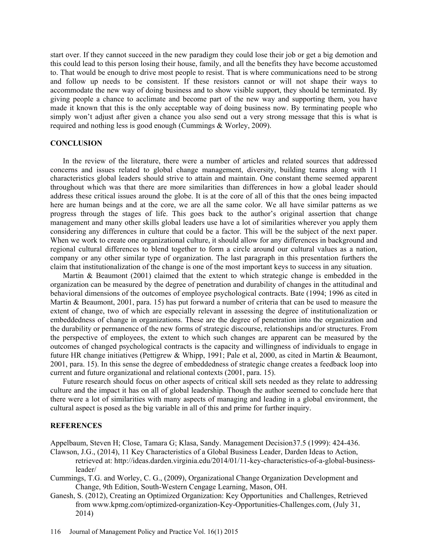start over. If they cannot succeed in the new paradigm they could lose their job or get a big demotion and this could lead to this person losing their house, family, and all the benefits they have become accustomed to. That would be enough to drive most people to resist. That is where communications need to be strong and follow up needs to be consistent. If these resistors cannot or will not shape their ways to accommodate the new way of doing business and to show visible support, they should be terminated. By giving people a chance to acclimate and become part of the new way and supporting them, you have made it known that this is the only acceptable way of doing business now. By terminating people who simply won't adjust after given a chance you also send out a very strong message that this is what is required and nothing less is good enough (Cummings & Worley, 2009).

## **CONCLUSION**

In the review of the literature, there were a number of articles and related sources that addressed concerns and issues related to global change management, diversity, building teams along with 11 characteristics global leaders should strive to attain and maintain. One constant theme seemed apparent throughout which was that there are more similarities than differences in how a global leader should address these critical issues around the globe. It is at the core of all of this that the ones being impacted here are human beings and at the core, we are all the same color. We all have similar patterns as we progress through the stages of life. This goes back to the author's original assertion that change management and many other skills global leaders use have a lot of similarities wherever you apply them considering any differences in culture that could be a factor. This will be the subject of the next paper. When we work to create one organizational culture, it should allow for any differences in background and regional cultural differences to blend together to form a circle around our cultural values as a nation, company or any other similar type of organization. The last paragraph in this presentation furthers the claim that institutionalization of the change is one of the most important keys to success in any situation.

Martin & Beaumont (2001) claimed that the extent to which strategic change is embedded in the organization can be measured by the degree of penetration and durability of changes in the attitudinal and behavioral dimensions of the outcomes of employee psychological contracts. Bate (1994; 1996 as cited in Martin & Beaumont, 2001, para. 15) has put forward a number of criteria that can be used to measure the extent of change, two of which are especially relevant in assessing the degree of institutionalization or embeddedness of change in organizations. These are the degree of penetration into the organization and the durability or permanence of the new forms of strategic discourse, relationships and/or structures. From the perspective of employees, the extent to which such changes are apparent can be measured by the outcomes of changed psychological contracts is the capacity and willingness of individuals to engage in future HR change initiatives (Pettigrew & Whipp, 1991; Pale et al, 2000, as cited in Martin & Beaumont, 2001, para. 15). In this sense the degree of embeddedness of strategic change creates a feedback loop into current and future organizational and relational contexts (2001, para. 15).

Future research should focus on other aspects of critical skill sets needed as they relate to addressing culture and the impact it has on all of global leadership. Though the author seemed to conclude here that there were a lot of similarities with many aspects of managing and leading in a global environment, the cultural aspect is posed as the big variable in all of this and prime for further inquiry.

## **REFERENCES**

Appelbaum, Steven H; Close, Tamara G; Klasa, Sandy. Management Decision37.5 (1999): 424-436.

- Clawson, J.G., (2014), 11 Key Characteristics of a Global Business Leader, Darden Ideas to Action, retrieved at: http://ideas.darden.virginia.edu/2014/01/11-key-characteristics-of-a-global-businessleader/
- Cummings, T.G. and Worley, C. G., (2009), Organizational Change Organization Development and Change, 9th Edition, South-Western Cengage Learning, Mason, OH.
- Ganesh, S. (2012), Creating an Optimized Organization: Key Opportunities and Challenges, Retrieved from www.kpmg.com/optimized-organization-Key-Opportunities-Challenges.com, (July 31, 2014)